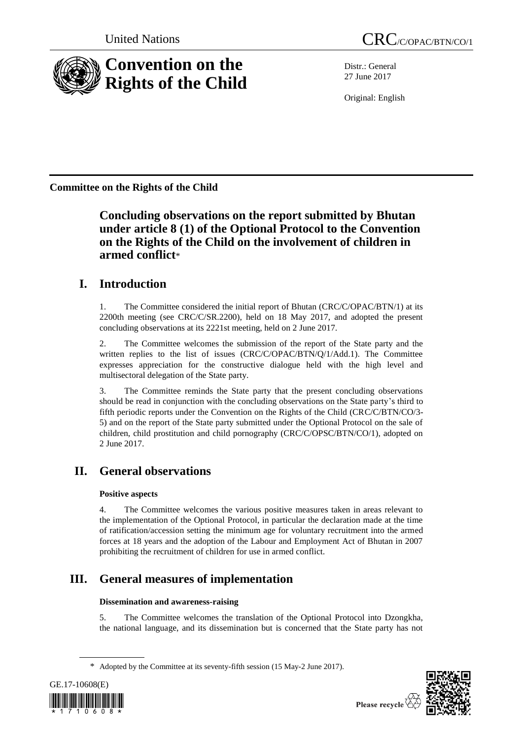

Distr.: General 27 June 2017

Original: English

**Committee on the Rights of the Child**

**Concluding observations on the report submitted by Bhutan under article 8 (1) of the Optional Protocol to the Convention on the Rights of the Child on the involvement of children in armed conflict**\*

## **I. Introduction**

1. The Committee considered the initial report of Bhutan (CRC/C/OPAC/BTN/1) at its 2200th meeting (see CRC/C/SR.2200), held on 18 May 2017, and adopted the present concluding observations at its 2221st meeting, held on 2 June 2017.

2. The Committee welcomes the submission of the report of the State party and the written replies to the list of issues (CRC/C/OPAC/BTN/Q/1/Add.1). The Committee expresses appreciation for the constructive dialogue held with the high level and multisectoral delegation of the State party.

3. The Committee reminds the State party that the present concluding observations should be read in conjunction with the concluding observations on the State party's third to fifth periodic reports under the Convention on the Rights of the Child (CRC/C/BTN/CO/3-5) and on the report of the State party submitted under the Optional Protocol on the sale of children, child prostitution and child pornography (CRC/C/OPSC/BTN/CO/1), adopted on 2 June 2017.

# **II. General observations**

## **Positive aspects**

4. The Committee welcomes the various positive measures taken in areas relevant to the implementation of the Optional Protocol, in particular the declaration made at the time of ratification/accession setting the minimum age for voluntary recruitment into the armed forces at 18 years and the adoption of the Labour and Employment Act of Bhutan in 2007 prohibiting the recruitment of children for use in armed conflict.

# **III. General measures of implementation**

### **Dissemination and awareness-raising**

5. The Committee welcomes the translation of the Optional Protocol into Dzongkha, the national language, and its dissemination but is concerned that the State party has not

<sup>\*</sup> Adopted by the Committee at its seventy-fifth session (15 May-2 June 2017).



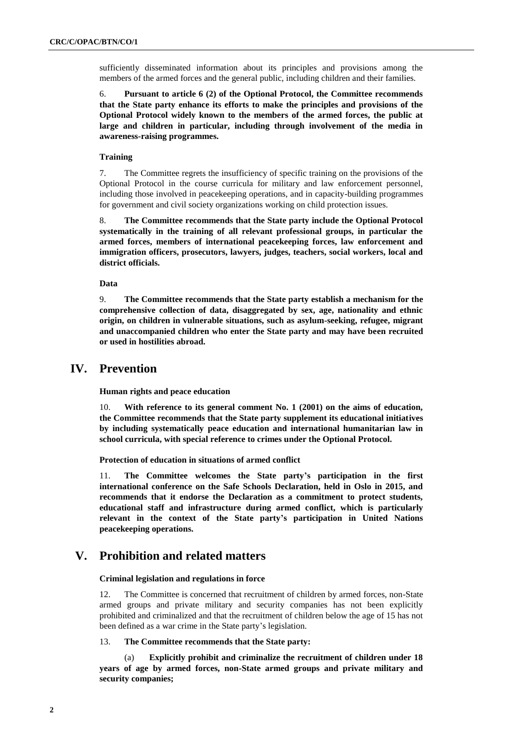sufficiently disseminated information about its principles and provisions among the members of the armed forces and the general public, including children and their families.

6. **Pursuant to article 6 (2) of the Optional Protocol, the Committee recommends that the State party enhance its efforts to make the principles and provisions of the Optional Protocol widely known to the members of the armed forces, the public at large and children in particular, including through involvement of the media in awareness-raising programmes.**

#### **Training**

7. The Committee regrets the insufficiency of specific training on the provisions of the Optional Protocol in the course curricula for military and law enforcement personnel, including those involved in peacekeeping operations, and in capacity-building programmes for government and civil society organizations working on child protection issues.

8. **The Committee recommends that the State party include the Optional Protocol systematically in the training of all relevant professional groups, in particular the armed forces, members of international peacekeeping forces, law enforcement and immigration officers, prosecutors, lawyers, judges, teachers, social workers, local and district officials.** 

#### **Data**

9. **The Committee recommends that the State party establish a mechanism for the comprehensive collection of data, disaggregated by sex, age, nationality and ethnic origin, on children in vulnerable situations, such as asylum-seeking, refugee, migrant and unaccompanied children who enter the State party and may have been recruited or used in hostilities abroad.**

#### **IV. Prevention**

**Human rights and peace education**

10. **With reference to its general comment No. 1 (2001) on the aims of education, the Committee recommends that the State party supplement its educational initiatives by including systematically peace education and international humanitarian law in school curricula, with special reference to crimes under the Optional Protocol.**

**Protection of education in situations of armed conflict**

11. **The Committee welcomes the State party's participation in the first international conference on the Safe Schools Declaration, held in Oslo in 2015, and recommends that it endorse the Declaration as a commitment to protect students, educational staff and infrastructure during armed conflict, which is particularly relevant in the context of the State party's participation in United Nations peacekeeping operations.** 

## **V. Prohibition and related matters**

**Criminal legislation and regulations in force**

12. The Committee is concerned that recruitment of children by armed forces, non-State armed groups and private military and security companies has not been explicitly prohibited and criminalized and that the recruitment of children below the age of 15 has not been defined as a war crime in the State party's legislation.

#### 13. **The Committee recommends that the State party:**

(a) **Explicitly prohibit and criminalize the recruitment of children under 18 years of age by armed forces, non-State armed groups and private military and security companies;**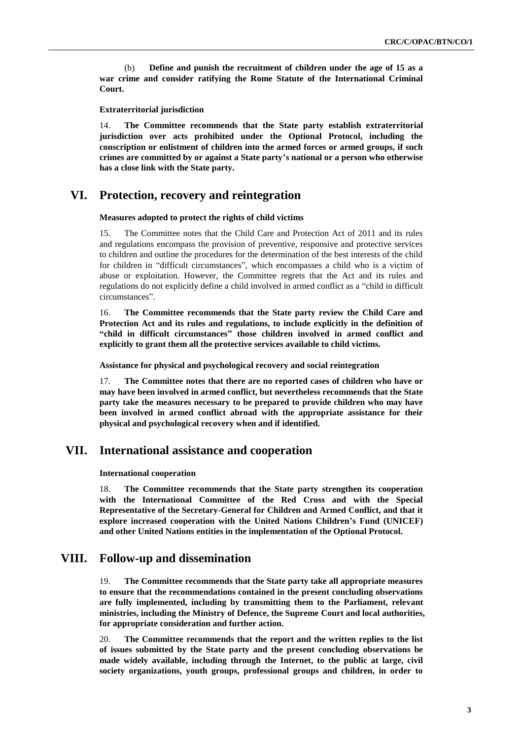(b) **Define and punish the recruitment of children under the age of 15 as a war crime and consider ratifying the Rome Statute of the International Criminal Court.**

**Extraterritorial jurisdiction** 

14. **The Committee recommends that the State party establish extraterritorial jurisdiction over acts prohibited under the Optional Protocol, including the conscription or enlistment of children into the armed forces or armed groups, if such crimes are committed by or against a State party's national or a person who otherwise has a close link with the State party.**

### **VI. Protection, recovery and reintegration**

#### **Measures adopted to protect the rights of child victims**

15. The Committee notes that the Child Care and Protection Act of 2011 and its rules and regulations encompass the provision of preventive, responsive and protective services to children and outline the procedures for the determination of the best interests of the child for children in "difficult circumstances", which encompasses a child who is a victim of abuse or exploitation. However, the Committee regrets that the Act and its rules and regulations do not explicitly define a child involved in armed conflict as a "child in difficult circumstances".

16. **The Committee recommends that the State party review the Child Care and Protection Act and its rules and regulations, to include explicitly in the definition of "child in difficult circumstances" those children involved in armed conflict and explicitly to grant them all the protective services available to child victims.**

**Assistance for physical and psychological recovery and social reintegration**

17. **The Committee notes that there are no reported cases of children who have or may have been involved in armed conflict, but nevertheless recommends that the State party take the measures necessary to be prepared to provide children who may have been involved in armed conflict abroad with the appropriate assistance for their physical and psychological recovery when and if identified.**

## **VII. International assistance and cooperation**

**International cooperation** 

18. **The Committee recommends that the State party strengthen its cooperation with the International Committee of the Red Cross and with the Special Representative of the Secretary-General for Children and Armed Conflict, and that it explore increased cooperation with the United Nations Children's Fund (UNICEF) and other United Nations entities in the implementation of the Optional Protocol.**

#### **VIII. Follow-up and dissemination**

19. **The Committee recommends that the State party take all appropriate measures to ensure that the recommendations contained in the present concluding observations are fully implemented, including by transmitting them to the Parliament, relevant ministries, including the Ministry of Defence, the Supreme Court and local authorities, for appropriate consideration and further action.**

20. **The Committee recommends that the report and the written replies to the list of issues submitted by the State party and the present concluding observations be made widely available, including through the Internet, to the public at large, civil society organizations, youth groups, professional groups and children, in order to**